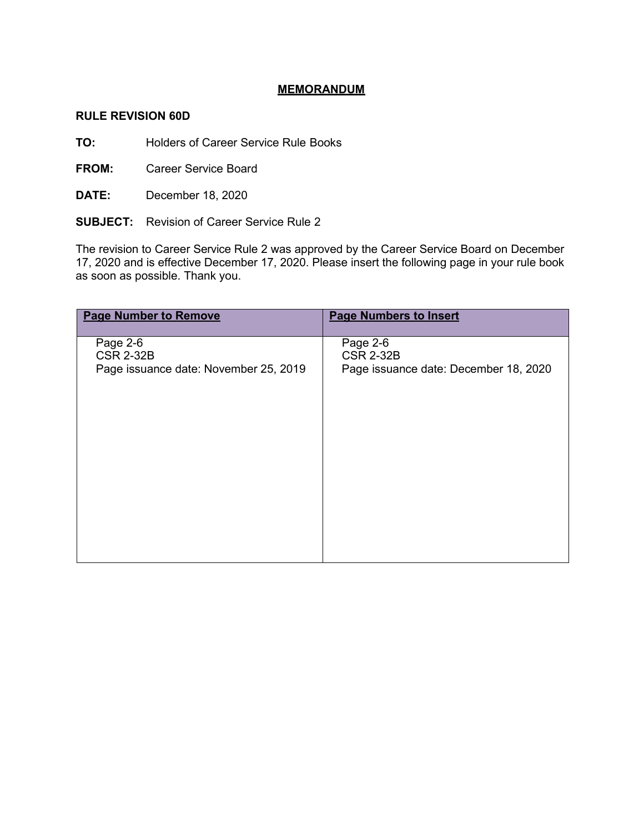## **MEMORANDUM**

## **RULE REVISION 60D**

**TO:** Holders of Career Service Rule Books

**FROM:** Career Service Board

**DATE:** December 18, 2020

**SUBJECT:** Revision of Career Service Rule 2

The revision to Career Service Rule 2 was approved by the Career Service Board on December 17, 2020 and is effective December 17, 2020. Please insert the following page in your rule book as soon as possible. Thank you.

| <b>Page Number to Remove</b>                                          | <b>Page Numbers to Insert</b>                                         |
|-----------------------------------------------------------------------|-----------------------------------------------------------------------|
| Page 2-6<br><b>CSR 2-32B</b><br>Page issuance date: November 25, 2019 | Page 2-6<br><b>CSR 2-32B</b><br>Page issuance date: December 18, 2020 |
|                                                                       |                                                                       |